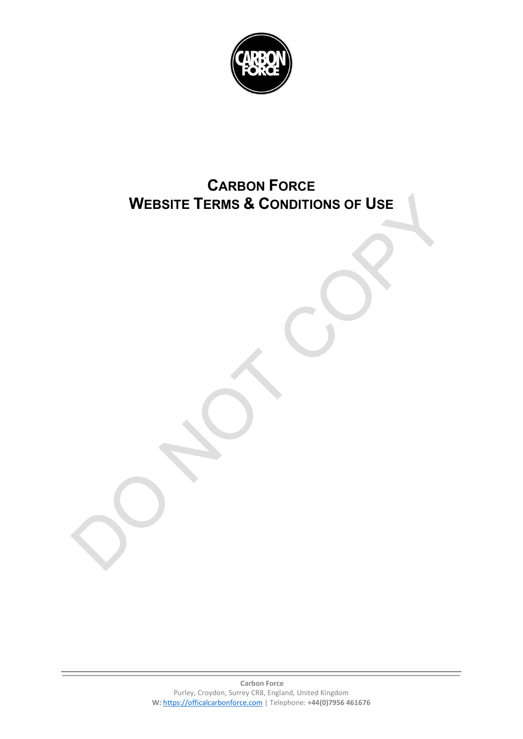

# **CARBON FORCE WEBSITE TERMS & CONDITIONS OF USE**

**Carbon Force** Purley, Croydon, Surrey CR8, England, United Kingdom **W:** [https://officalcarbonforce.com](https://officalcarbonforce.com/) | Telephone: **+44(0)7956 461676**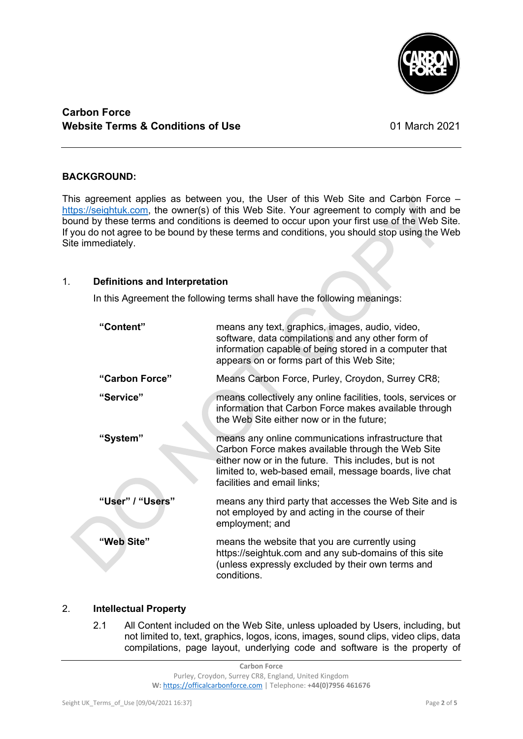

# **Carbon Force Website Terms & Conditions of Use 01 March 2021**

## **BACKGROUND:**

This agreement applies as between you, the User of this Web Site and Carbon Force – [https://seightuk.com,](https://www.spicegyalzcatering.co.uk/) the owner(s) of this Web Site. Your agreement to comply with and be bound by these terms and conditions is deemed to occur upon your first use of the Web Site. If you do not agree to be bound by these terms and conditions, you should stop using the Web Site immediately.

### 1. **Definitions and Interpretation**

In this Agreement the following terms shall have the following meanings:

| "Content"        | means any text, graphics, images, audio, video,<br>software, data compilations and any other form of<br>information capable of being stored in a computer that<br>appears on or forms part of this Web Site;                                                |
|------------------|-------------------------------------------------------------------------------------------------------------------------------------------------------------------------------------------------------------------------------------------------------------|
| "Carbon Force"   | Means Carbon Force, Purley, Croydon, Surrey CR8;                                                                                                                                                                                                            |
| "Service"        | means collectively any online facilities, tools, services or<br>information that Carbon Force makes available through<br>the Web Site either now or in the future;                                                                                          |
| "System"         | means any online communications infrastructure that<br>Carbon Force makes available through the Web Site<br>either now or in the future. This includes, but is not<br>limited to, web-based email, message boards, live chat<br>facilities and email links; |
| "User" / "Users" | means any third party that accesses the Web Site and is<br>not employed by and acting in the course of their<br>employment; and                                                                                                                             |
| "Web Site"       | means the website that you are currently using<br>https://seightuk.com and any sub-domains of this site<br>(unless expressly excluded by their own terms and<br>conditions.                                                                                 |

# 2. **Intellectual Property**

2.1 All Content included on the Web Site, unless uploaded by Users, including, but not limited to, text, graphics, logos, icons, images, sound clips, video clips, data compilations, page layout, underlying code and software is the property of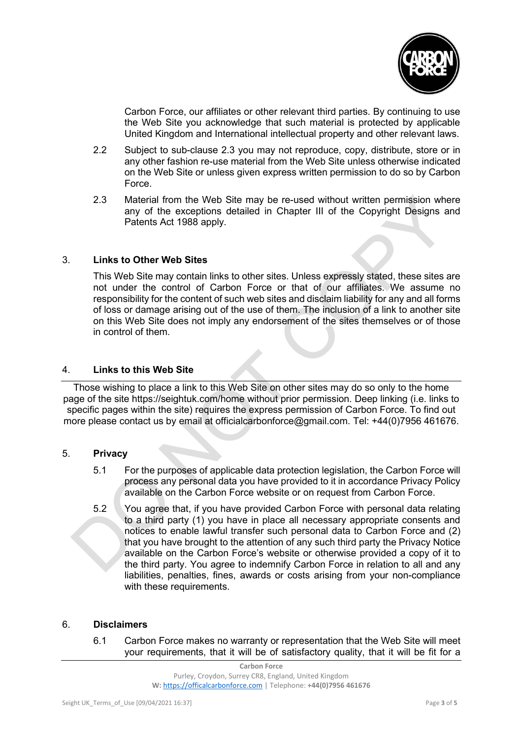

Carbon Force, our affiliates or other relevant third parties. By continuing to use the Web Site you acknowledge that such material is protected by applicable United Kingdom and International intellectual property and other relevant laws.

- 2.2 Subject to sub-clause 2.3 you may not reproduce, copy, distribute, store or in any other fashion re-use material from the Web Site unless otherwise indicated on the Web Site or unless given express written permission to do so by Carbon Force.
- 2.3 Material from the Web Site may be re-used without written permission where any of the exceptions detailed in Chapter III of the Copyright Designs and Patents Act 1988 apply.

# 3. **Links to Other Web Sites**

This Web Site may contain links to other sites. Unless expressly stated, these sites are not under the control of Carbon Force or that of our affiliates. We assume no responsibility for the content of such web sites and disclaim liability for any and all forms of loss or damage arising out of the use of them. The inclusion of a link to another site on this Web Site does not imply any endorsement of the sites themselves or of those in control of them.

## 4. **Links to this Web Site**

Those wishing to place a link to this Web Site on other sites may do so only to the home page of the site https://seightuk.com/home without prior permission. Deep linking (i.e. links to specific pages within the site) requires the express permission of Carbon Force. To find out more please contact us by email at officialcarbonforce@gmail.com. Tel: +44(0)7956 461676.

#### 5. **Privacy**

- 5.1 For the purposes of applicable data protection legislation, the Carbon Force will process any personal data you have provided to it in accordance Privacy Policy available on the Carbon Force website or on request from Carbon Force.
- 5.2 You agree that, if you have provided Carbon Force with personal data relating to a third party (1) you have in place all necessary appropriate consents and notices to enable lawful transfer such personal data to Carbon Force and (2) that you have brought to the attention of any such third party the Privacy Notice available on the Carbon Force's website or otherwise provided a copy of it to the third party. You agree to indemnify Carbon Force in relation to all and any liabilities, penalties, fines, awards or costs arising from your non-compliance with these requirements.

#### 6. **Disclaimers**

6.1 Carbon Force makes no warranty or representation that the Web Site will meet your requirements, that it will be of satisfactory quality, that it will be fit for a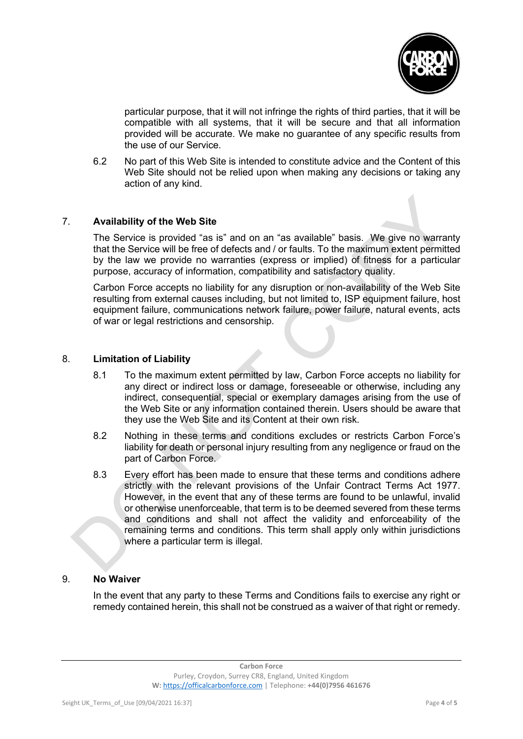

particular purpose, that it will not infringe the rights of third parties, that it will be compatible with all systems, that it will be secure and that all information provided will be accurate. We make no guarantee of any specific results from the use of our Service.

6.2 No part of this Web Site is intended to constitute advice and the Content of this Web Site should not be relied upon when making any decisions or taking any action of any kind.

# 7. **Availability of the Web Site**

The Service is provided "as is" and on an "as available" basis. We give no warranty that the Service will be free of defects and / or faults. To the maximum extent permitted by the law we provide no warranties (express or implied) of fitness for a particular purpose, accuracy of information, compatibility and satisfactory quality.

Carbon Force accepts no liability for any disruption or non-availability of the Web Site resulting from external causes including, but not limited to, ISP equipment failure, host equipment failure, communications network failure, power failure, natural events, acts of war or legal restrictions and censorship.

#### 8. **Limitation of Liability**

- 8.1 To the maximum extent permitted by law, Carbon Force accepts no liability for any direct or indirect loss or damage, foreseeable or otherwise, including any indirect, consequential, special or exemplary damages arising from the use of the Web Site or any information contained therein. Users should be aware that they use the Web Site and its Content at their own risk.
- 8.2 Nothing in these terms and conditions excludes or restricts Carbon Force's liability for death or personal injury resulting from any negligence or fraud on the part of Carbon Force.
- 8.3 Every effort has been made to ensure that these terms and conditions adhere strictly with the relevant provisions of the Unfair Contract Terms Act 1977. However, in the event that any of these terms are found to be unlawful, invalid or otherwise unenforceable, that term is to be deemed severed from these terms and conditions and shall not affect the validity and enforceability of the remaining terms and conditions. This term shall apply only within jurisdictions where a particular term is illegal.

#### 9. **No Waiver**

In the event that any party to these Terms and Conditions fails to exercise any right or remedy contained herein, this shall not be construed as a waiver of that right or remedy.